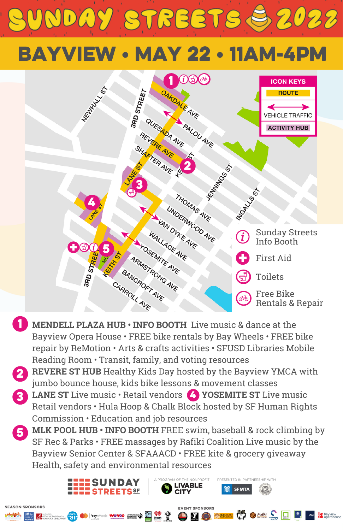# NDAY STREETS & 2022

# bayview • may 22 • 11am-4pm



- **MENDELL PLAZA HUB • INFO BOOTH** Live music & dance at the 1 Bayview Opera House • FREE bike rentals by Bay Wheels • FREE bike repair by ReMotion • Arts & crafts activities • SFUSD Libraries Mobile Reading Room • Transit, family, and voting resources
- **REVERE ST HUB** Healthy Kids Day hosted by the Bayview YMCA with 2 jumbo bounce house, kids bike lessons & movement classes
- **CONSERVANCE ST Live music Retail vendors (4) YOSEMITE ST Live music** Retail vendors • Hula Hoop & Chalk Block hosted by SF Human Rights Commission • Education and job resources
- **5** MLK POOL HUB INFO BOOTH FREE swim, baseball & rock climbing by SF Rec & Parks • FREE massages by Rafiki Coalition Live music by the Bayview Senior Center & SFAAACD • FREE kite & grocery giveaway Health, safety and environmental resources

**LIVABLE** 

**EVENT SPONSORS EXECUTIVE SUBSCRIPTION OF A SECOND CONTROLLER CONTROLLER OF A SUBSCRIPTION OF A SUBSCRIPTION OF A SUBSCRIPTION OF A SUBSCRIPTION OF A SUBSCRIPTION OF A SUBSCRIPTION OF A SUBSCRIPTION OF A SUBSCRIPTION OF A SUBSCRIPTION OF** 

**ELLE SUNDAY**<br> **ELLE STREETS** SE

**SEASON SPONSOPS** 

TED IN DADTNEDSHID WITH

**SFMTA**